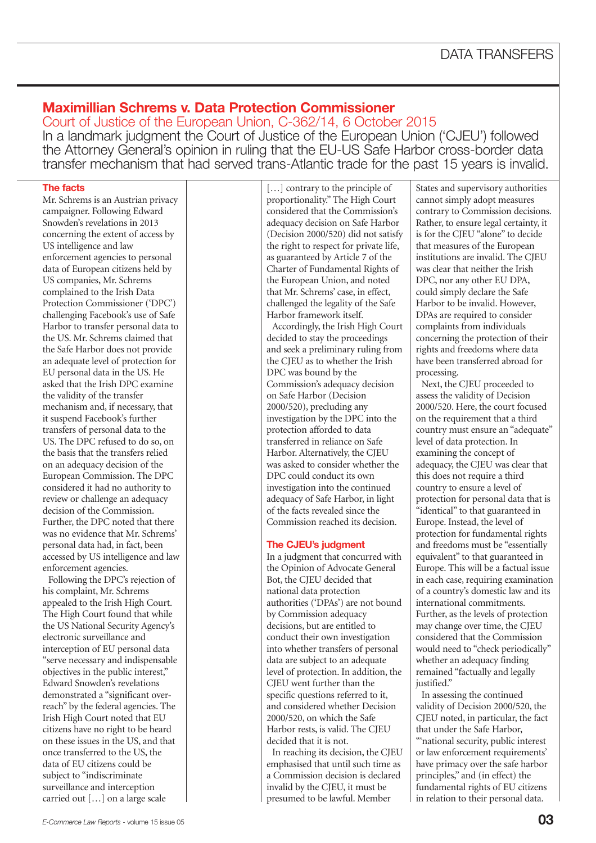# **Maximillian Schrems v. Data Protection Commissioner**

Court of Justice of the European Union, C-362/14, 6 October 2015 In a landmark judgment the Court of Justice of the European Union ('CJEU') followed the Attorney General's opinion in ruling that the EU-US Safe Harbor cross-border data transfer mechanism that had served trans-Atlantic trade for the past 15 years is invalid.

## **The facts**

Mr. Schrems is an Austrian privacy campaigner. Following Edward Snowden's revelations in 2013 concerning the extent of access by US intelligence and law enforcement agencies to personal data of European citizens held by US companies, Mr. Schrems complained to the Irish Data Protection Commissioner ('DPC') challenging Facebook's use of Safe Harbor to transfer personal data to the US. Mr. Schrems claimed that the Safe Harbor does not provide an adequate level of protection for EU personal data in the US. He asked that the Irish DPC examine the validity of the transfer mechanism and, if necessary, that it suspend Facebook's further transfers of personal data to the US. The DPC refused to do so, on the basis that the transfers relied on an adequacy decision of the European Commission. The DPC considered it had no authority to review or challenge an adequacy decision of the Commission. Further, the DPC noted that there was no evidence that Mr. Schrems' personal data had, in fact, been accessed by US intelligence and law enforcement agencies.

Following the DPC's rejection of his complaint, Mr. Schrems appealed to the Irish High Court. The High Court found that while the US National Security Agency's electronic surveillance and interception of EU personal data "serve necessary and indispensable objectives in the public interest," Edward Snowden's revelations demonstrated a "significant overreach" by the federal agencies. The Irish High Court noted that EU citizens have no right to be heard on these issues in the US, and that once transferred to the US, the data of EU citizens could be subject to "indiscriminate" surveillance and interception carried out […] on a large scale

[...] contrary to the principle of proportionality." The High Court considered that the Commission's adequacy decision on Safe Harbor (Decision 2000/520) did not satisfy the right to respect for private life, as guaranteed by Article 7 of the Charter of Fundamental Rights of the European Union, and noted that Mr. Schrems' case, in effect, challenged the legality of the Safe Harbor framework itself.

Accordingly, the Irish High Court decided to stay the proceedings and seek a preliminary ruling from the CJEU as to whether the Irish DPC was bound by the Commission's adequacy decision on Safe Harbor (Decision 2000/520), precluding any investigation by the DPC into the protection afforded to data transferred in reliance on Safe Harbor. Alternatively, the CJEU was asked to consider whether the DPC could conduct its own investigation into the continued adequacy of Safe Harbor, in light of the facts revealed since the Commission reached its decision.

### **The CJEU's judgment**

In a judgment that concurred with the Opinion of Advocate General Bot, the CJEU decided that national data protection authorities ('DPAs') are not bound by Commission adequacy decisions, but are entitled to conduct their own investigation into whether transfers of personal data are subject to an adequate level of protection. In addition, the CJEU went further than the specific questions referred to it, and considered whether Decision 2000/520, on which the Safe Harbor rests, is valid. The CJEU decided that it is not.

In reaching its decision, the CJEU emphasised that until such time as a Commission decision is declared invalid by the CJEU, it must be presumed to be lawful. Member

States and supervisory authorities cannot simply adopt measures contrary to Commission decisions. Rather, to ensure legal certainty, it is for the CJEU "alone" to decide that measures of the European institutions are invalid. The CJEU was clear that neither the Irish DPC, nor any other EU DPA, could simply declare the Safe Harbor to be invalid. However, DPAs are required to consider complaints from individuals concerning the protection of their rights and freedoms where data have been transferred abroad for processing.

Next, the CJEU proceeded to assess the validity of Decision 2000/520. Here, the court focused on the requirement that a third country must ensure an "adequate" level of data protection. In examining the concept of adequacy, the CJEU was clear that this does not require a third country to ensure a level of protection for personal data that is "identical" to that guaranteed in Europe. Instead, the level of protection for fundamental rights and freedoms must be "essentially equivalent" to that guaranteed in Europe. This will be a factual issue in each case, requiring examination of a country's domestic law and its international commitments. Further, as the levels of protection may change over time, the CJEU considered that the Commission would need to "check periodically" whether an adequacy finding remained "factually and legally justified."

In assessing the continued validity of Decision 2000/520, the CJEU noted, in particular, the fact that under the Safe Harbor, "'national security, public interest or law enforcement requirements' have primacy over the safe harbor principles," and (in effect) the fundamental rights of EU citizens in relation to their personal data.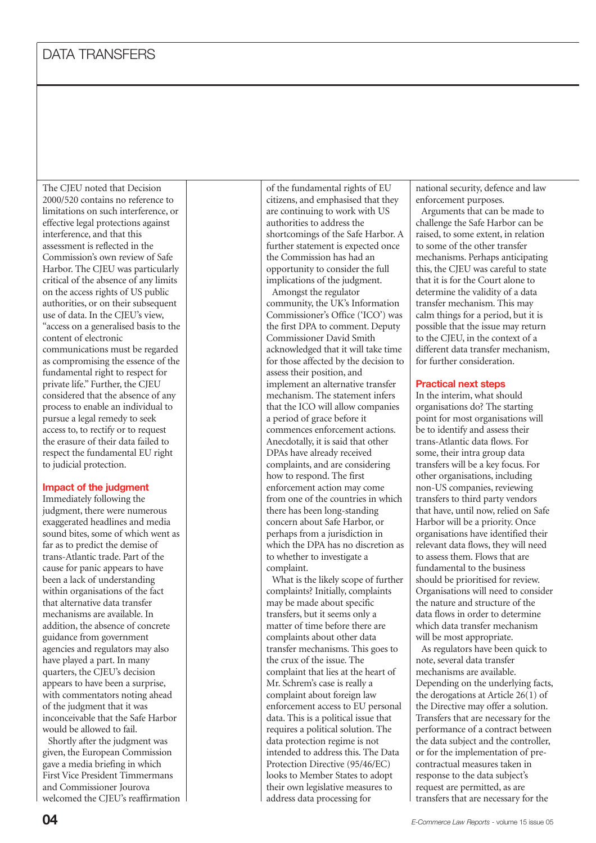The CJEU noted that Decision 2000/520 contains no reference to limitations on such interference, or effective legal protections against interference, and that this assessment is reflected in the Commission's own review of Safe Harbor. The CJEU was particularly critical of the absence of any limits on the access rights of US public authorities, or on their subsequent use of data. In the CJEU's view, "access on a generalised basis to the content of electronic communications must be regarded as compromising the essence of the fundamental right to respect for private life." Further, the CJEU considered that the absence of any process to enable an individual to pursue a legal remedy to seek access to, to rectify or to request the erasure of their data failed to respect the fundamental EU right to judicial protection.

### **Impact of the judgment**

Immediately following the judgment, there were numerous exaggerated headlines and media sound bites, some of which went as far as to predict the demise of trans-Atlantic trade. Part of the cause for panic appears to have been a lack of understanding within organisations of the fact that alternative data transfer mechanisms are available. In addition, the absence of concrete guidance from government agencies and regulators may also have played a part. In many quarters, the CJEU's decision appears to have been a surprise, with commentators noting ahead of the judgment that it was inconceivable that the Safe Harbor would be allowed to fail.

Shortly after the judgment was given, the European Commission gave a media briefing in which First Vice President Timmermans and Commissioner Jourova welcomed the CJEU's reaffirmation of the fundamental rights of EU citizens, and emphasised that they are continuing to work with US authorities to address the shortcomings of the Safe Harbor. A further statement is expected once the Commission has had an opportunity to consider the full implications of the judgment.

Amongst the regulator community, the UK's Information Commissioner's Office ('ICO') was the first DPA to comment. Deputy Commissioner David Smith acknowledged that it will take time for those affected by the decision to assess their position, and implement an alternative transfer mechanism. The statement infers that the ICO will allow companies a period of grace before it commences enforcement actions. Anecdotally, it is said that other DPAs have already received complaints, and are considering how to respond. The first enforcement action may come from one of the countries in which there has been long-standing concern about Safe Harbor, or perhaps from a jurisdiction in which the DPA has no discretion as to whether to investigate a complaint.

What is the likely scope of further complaints? Initially, complaints may be made about specific transfers, but it seems only a matter of time before there are complaints about other data transfer mechanisms. This goes to the crux of the issue. The complaint that lies at the heart of Mr. Schrem's case is really a complaint about foreign law enforcement access to EU personal data. This is a political issue that requires a political solution. The data protection regime is not intended to address this. The Data Protection Directive (95/46/EC) looks to Member States to adopt their own legislative measures to address data processing for

national security, defence and law enforcement purposes.

Arguments that can be made to challenge the Safe Harbor can be raised, to some extent, in relation to some of the other transfer mechanisms. Perhaps anticipating this, the CJEU was careful to state that it is for the Court alone to determine the validity of a data transfer mechanism. This may calm things for a period, but it is possible that the issue may return to the CJEU, in the context of a different data transfer mechanism, for further consideration.

#### **Practical next steps**

In the interim, what should organisations do? The starting point for most organisations will be to identify and assess their trans-Atlantic data flows. For some, their intra group data transfers will be a key focus. For other organisations, including non-US companies, reviewing transfers to third party vendors that have, until now, relied on Safe Harbor will be a priority. Once organisations have identified their relevant data flows, they will need to assess them. Flows that are fundamental to the business should be prioritised for review. Organisations will need to consider the nature and structure of the data flows in order to determine which data transfer mechanism will be most appropriate.

As regulators have been quick to note, several data transfer mechanisms are available. Depending on the underlying facts, the derogations at Article 26(1) of the Directive may offer a solution. Transfers that are necessary for the performance of a contract between the data subject and the controller, or for the implementation of precontractual measures taken in response to the data subject's request are permitted, as are transfers that are necessary for the